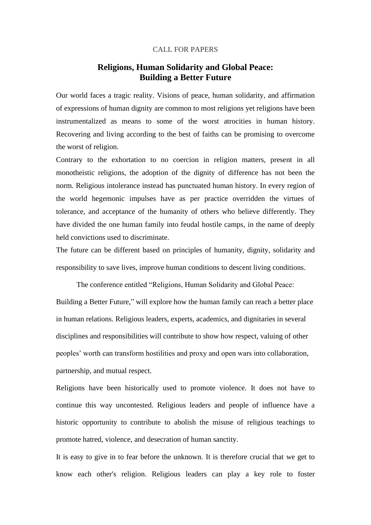## CALL FOR PAPERS

## **Religions, Human Solidarity and Global Peace: Building a Better Future**

Our world faces a tragic reality. Visions of peace, human solidarity, and affirmation of expressions of human dignity are common to most religions yet religions have been instrumentalized as means to some of the worst atrocities in human history. Recovering and living according to the best of faiths can be promising to overcome the worst of religion.

Contrary to the exhortation to no coercion in religion matters, present in all monotheistic religions, the adoption of the dignity of difference has not been the norm. Religious intolerance instead has punctuated human history. In every region of the world hegemonic impulses have as per practice overridden the virtues of tolerance, and acceptance of the humanity of others who believe differently. They have divided the one human family into feudal hostile camps, in the name of deeply held convictions used to discriminate.

The future can be different based on principles of humanity, dignity, solidarity and responsibility to save lives, improve human conditions to descent living conditions.

The conference entitled "Religions, Human Solidarity and Global Peace: Building a Better Future," will explore how the human family can reach a better place in human relations. Religious leaders, experts, academics, and dignitaries in several disciplines and responsibilities will contribute to show how respect, valuing of other peoples' worth can transform hostilities and proxy and open wars into collaboration, partnership, and mutual respect.

Religions have been historically used to promote violence. It does not have to continue this way uncontested. Religious leaders and people of influence have a historic opportunity to contribute to abolish the misuse of religious teachings to promote hatred, violence, and desecration of human sanctity.

It is easy to give in to fear before the unknown. It is therefore crucial that we get to know each other's religion. Religious leaders can play a key role to foster